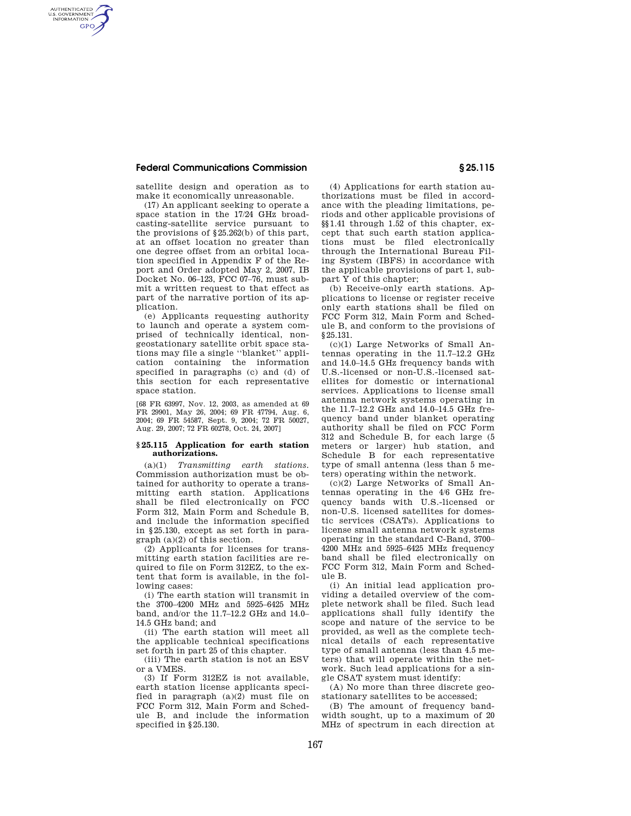## **Federal Communications Commission § 25.115**

AUTHENTICATED<br>U.S. GOVERNMENT<br>INFORMATION **GPO** 

> satellite design and operation as to make it economically unreasonable.

> (17) An applicant seeking to operate a space station in the 17/24 GHz broadcasting-satellite service pursuant to the provisions of §25.262(b) of this part, at an offset location no greater than one degree offset from an orbital location specified in Appendix F of the Report and Order adopted May 2, 2007, IB Docket No. 06–123, FCC 07–76, must submit a written request to that effect as part of the narrative portion of its application.

> (e) Applicants requesting authority to launch and operate a system comprised of technically identical, nongeostationary satellite orbit space stations may file a single ''blanket'' application containing the information specified in paragraphs (c) and (d) of this section for each representative space station.

> [68 FR 63997, Nov. 12, 2003, as amended at 69 FR 29901, May 26, 2004; 69 FR 47794, Aug. 6, 2004; 69 FR 54587, Sept. 9, 2004; 72 FR 50027, Aug. 29, 2007; 72 FR 60278, Oct. 24, 2007]

### **§ 25.115 Application for earth station authorizations.**

(a)(1) *Transmitting earth stations.*  Commission authorization must be obtained for authority to operate a transmitting earth station. Applications shall be filed electronically on FCC Form 312, Main Form and Schedule B, and include the information specified in §25.130, except as set forth in paragraph (a)(2) of this section.

(2) Applicants for licenses for transmitting earth station facilities are required to file on Form 312EZ, to the extent that form is available, in the following cases:

(i) The earth station will transmit in the 3700–4200 MHz and 5925–6425 MHz band, and/or the 11.7–12.2 GHz and 14.0– 14.5 GHz band; and

(ii) The earth station will meet all the applicable technical specifications set forth in part 25 of this chapter.

(iii) The earth station is not an ESV or a VMES.

(3) If Form 312EZ is not available, earth station license applicants specified in paragraph (a)(2) must file on FCC Form 312, Main Form and Schedule B, and include the information specified in §25.130.

(4) Applications for earth station authorizations must be filed in accordance with the pleading limitations, periods and other applicable provisions of §§1.41 through 1.52 of this chapter, except that such earth station applications must be filed electronically through the International Bureau Filing System (IBFS) in accordance with the applicable provisions of part 1, subpart Y of this chapter;

(b) Receive-only earth stations. Applications to license or register receive only earth stations shall be filed on FCC Form 312, Main Form and Schedule B, and conform to the provisions of § 25.131.

(c)(1) Large Networks of Small Antennas operating in the 11.7–12.2 GHz and 14.0–14.5 GHz frequency bands with U.S.-licensed or non-U.S.-licensed satellites for domestic or international services. Applications to license small antenna network systems operating in the 11.7–12.2 GHz and 14.0–14.5 GHz frequency band under blanket operating authority shall be filed on FCC Form 312 and Schedule B, for each large (5 meters or larger) hub station, and Schedule B for each representative type of small antenna (less than 5 meters) operating within the network.

(c)(2) Large Networks of Small Antennas operating in the 4/6 GHz frequency bands with U.S.-licensed or non-U.S. licensed satellites for domestic services (CSATs). Applications to license small antenna network systems operating in the standard C-Band, 3700– 4200 MHz and 5925–6425 MHz frequency band shall be filed electronically on FCC Form 312, Main Form and Schedule B.

(i) An initial lead application providing a detailed overview of the complete network shall be filed. Such lead applications shall fully identify the scope and nature of the service to be provided, as well as the complete technical details of each representative type of small antenna (less than 4.5 meters) that will operate within the network. Such lead applications for a single CSAT system must identify:

(A) No more than three discrete geostationary satellites to be accessed;

(B) The amount of frequency bandwidth sought, up to a maximum of 20 MHz of spectrum in each direction at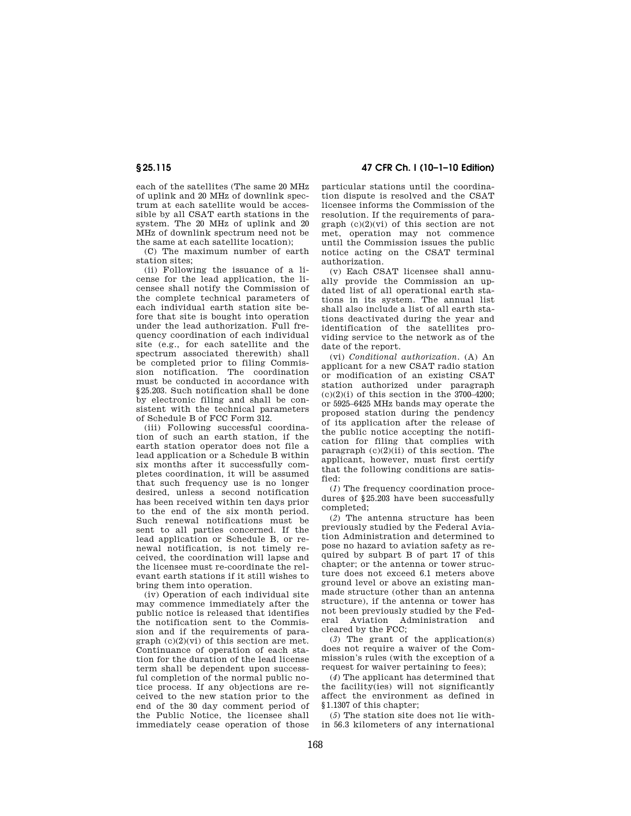each of the satellites (The same 20 MHz of uplink and 20 MHz of downlink spectrum at each satellite would be accessible by all CSAT earth stations in the system. The 20 MHz of uplink and 20 MHz of downlink spectrum need not be the same at each satellite location);

(C) The maximum number of earth station sites;

(ii) Following the issuance of a license for the lead application, the licensee shall notify the Commission of the complete technical parameters of each individual earth station site before that site is bought into operation under the lead authorization. Full frequency coordination of each individual site (e.g., for each satellite and the spectrum associated therewith) shall be completed prior to filing Commission notification. The coordination must be conducted in accordance with §25.203. Such notification shall be done by electronic filing and shall be consistent with the technical parameters of Schedule B of FCC Form 312.

(iii) Following successful coordination of such an earth station, if the earth station operator does not file a lead application or a Schedule B within six months after it successfully completes coordination, it will be assumed that such frequency use is no longer desired, unless a second notification has been received within ten days prior to the end of the six month period. Such renewal notifications must be sent to all parties concerned. If the lead application or Schedule B, or renewal notification, is not timely received, the coordination will lapse and the licensee must re-coordinate the relevant earth stations if it still wishes to bring them into operation.

(iv) Operation of each individual site may commence immediately after the public notice is released that identifies the notification sent to the Commission and if the requirements of para $graph (c)(2)(vi)$  of this section are met. Continuance of operation of each station for the duration of the lead license term shall be dependent upon successful completion of the normal public notice process. If any objections are received to the new station prior to the end of the 30 day comment period of the Public Notice, the licensee shall immediately cease operation of those

**§ 25.115 47 CFR Ch. I (10–1–10 Edition)** 

particular stations until the coordination dispute is resolved and the CSAT licensee informs the Commission of the resolution. If the requirements of paragraph  $(c)(2)(vi)$  of this section are not met, operation may not commence until the Commission issues the public notice acting on the CSAT terminal authorization.

(v) Each CSAT licensee shall annually provide the Commission an updated list of all operational earth stations in its system. The annual list shall also include a list of all earth stations deactivated during the year and identification of the satellites providing service to the network as of the date of the report.

(vi) *Conditional authorization.* (A) An applicant for a new CSAT radio station or modification of an existing CSAT station authorized under paragraph  $(c)(2)(i)$  of this section in the 3700–4200; or 5925–6425 MHz bands may operate the proposed station during the pendency of its application after the release of the public notice accepting the notification for filing that complies with paragraph  $(c)(2)(ii)$  of this section. The applicant, however, must first certify that the following conditions are satisfied:

(*1*) The frequency coordination procedures of §25.203 have been successfully completed;

(*2*) The antenna structure has been previously studied by the Federal Aviation Administration and determined to pose no hazard to aviation safety as required by subpart B of part 17 of this chapter; or the antenna or tower structure does not exceed 6.1 meters above ground level or above an existing manmade structure (other than an antenna structure), if the antenna or tower has not been previously studied by the Federal Aviation Administration and cleared by the FCC;

(*3*) The grant of the application(s) does not require a waiver of the Commission's rules (with the exception of a request for waiver pertaining to fees);

(*4*) The applicant has determined that the facility(ies) will not significantly affect the environment as defined in §1.1307 of this chapter;

(*5*) The station site does not lie within 56.3 kilometers of any international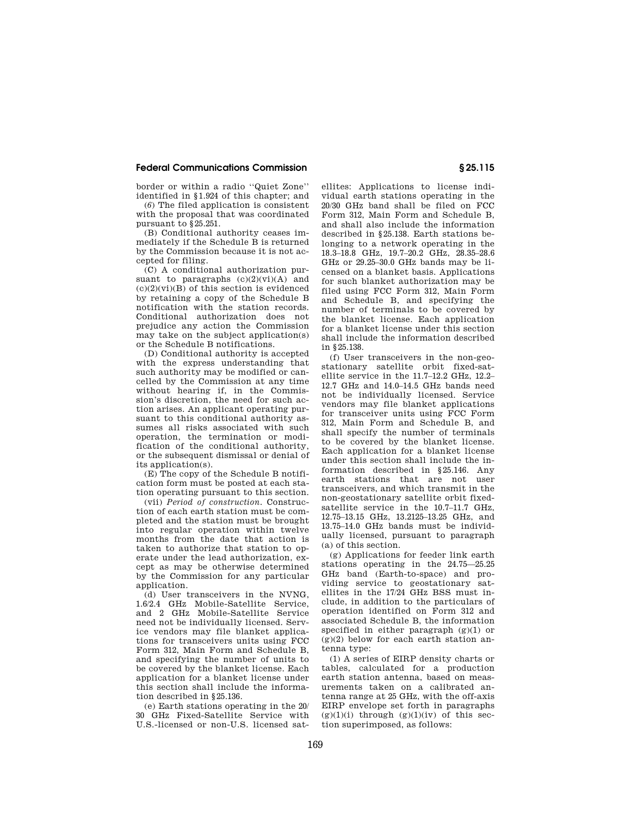# **Federal Communications Commission § 25.115**

border or within a radio ''Quiet Zone'' identified in §1.924 of this chapter; and

(*6*) The filed application is consistent with the proposal that was coordinated pursuant to §25.251.

(B) Conditional authority ceases immediately if the Schedule B is returned by the Commission because it is not accepted for filing.

(C) A conditional authorization pursuant to paragraphs  $(c)(2)(vi)(A)$  and  $(c)(2)(vi)(B)$  of this section is evidenced by retaining a copy of the Schedule B notification with the station records. Conditional authorization does not prejudice any action the Commission may take on the subject application(s) or the Schedule B notifications.

(D) Conditional authority is accepted with the express understanding that such authority may be modified or cancelled by the Commission at any time without hearing if, in the Commission's discretion, the need for such action arises. An applicant operating pursuant to this conditional authority assumes all risks associated with such operation, the termination or modification of the conditional authority, or the subsequent dismissal or denial of its application(s).

(E) The copy of the Schedule B notification form must be posted at each station operating pursuant to this section.

(vii) *Period of construction.* Construction of each earth station must be completed and the station must be brought into regular operation within twelve months from the date that action is taken to authorize that station to operate under the lead authorization, except as may be otherwise determined by the Commission for any particular application.

(d) User transceivers in the NVNG, 1.6/2.4 GHz Mobile-Satellite Service, and 2 GHz Mobile-Satellite Service need not be individually licensed. Service vendors may file blanket applications for transceivers units using FCC Form 312, Main Form and Schedule B, and specifying the number of units to be covered by the blanket license. Each application for a blanket license under this section shall include the information described in §25.136.

(e) Earth stations operating in the 20/ 30 GHz Fixed-Satellite Service with U.S.-licensed or non-U.S. licensed sat-

ellites: Applications to license individual earth stations operating in the 20/30 GHz band shall be filed on FCC Form 312, Main Form and Schedule B, and shall also include the information described in §25.138. Earth stations belonging to a network operating in the 18.3–18.8 GHz, 19.7–20.2 GHz, 28.35–28.6 GHz or 29.25–30.0 GHz bands may be licensed on a blanket basis. Applications for such blanket authorization may be filed using FCC Form 312, Main Form and Schedule B, and specifying the number of terminals to be covered by the blanket license. Each application for a blanket license under this section shall include the information described in §25.138.

(f) User transceivers in the non-geostationary satellite orbit fixed-satellite service in the 11.7–12.2 GHz, 12.2– 12.7 GHz and 14.0–14.5 GHz bands need not be individually licensed. Service vendors may file blanket applications for transceiver units using FCC Form 312, Main Form and Schedule B, and shall specify the number of terminals to be covered by the blanket license. Each application for a blanket license under this section shall include the information described in §25.146. Any earth stations that are not user transceivers, and which transmit in the non-geostationary satellite orbit fixedsatellite service in the 10.7–11.7 GHz, 12.75–13.15 GHz, 13.2125–13.25 GHz, and 13.75–14.0 GHz bands must be individually licensed, pursuant to paragraph (a) of this section.

(g) Applications for feeder link earth stations operating in the 24.75—25.25 GHz band (Earth-to-space) and providing service to geostationary satellites in the 17/24 GHz BSS must include, in addition to the particulars of operation identified on Form 312 and associated Schedule B, the information specified in either paragraph (g)(1) or  $(g)(2)$  below for each earth station antenna type:

(1) A series of EIRP density charts or tables, calculated for a production earth station antenna, based on measurements taken on a calibrated antenna range at 25 GHz, with the off-axis EIRP envelope set forth in paragraphs  $(g)(1)(i)$  through  $(g)(1)(iv)$  of this section superimposed, as follows: